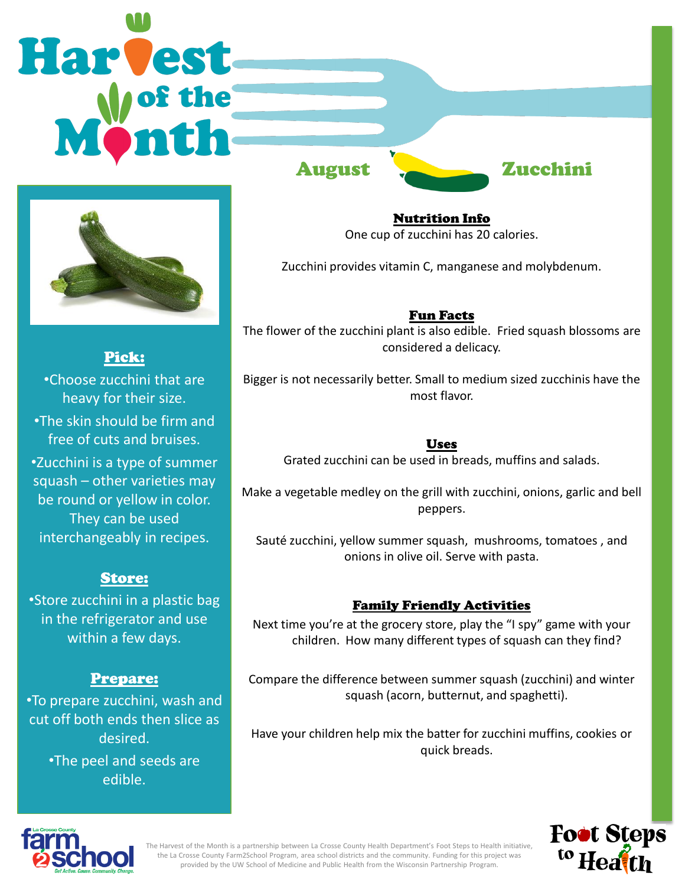# **Harvest** August Zucchini



Pick: •Choose zucchini that are heavy for their size. •The skin should be firm and free of cuts and bruises. •Zucchini is a type of summer squash – other varieties may be round or yellow in color. They can be used interchangeably in recipes.

## Store:

•Store zucchini in a plastic bag in the refrigerator and use within a few days.

# Prepare:

•To prepare zucchini, wash and cut off both ends then slice as desired.

•The peel and seeds are edible.

Nutrition Info One cup of zucchini has 20 calories.

Zucchini provides vitamin C, manganese and molybdenum.

Fun Facts The flower of the zucchini plant is also edible. Fried squash blossoms are considered a delicacy.

Bigger is not necessarily better. Small to medium sized zucchinis have the most flavor.

Uses

Grated zucchini can be used in breads, muffins and salads.

Make a vegetable medley on the grill with zucchini, onions, garlic and bell peppers.

Sauté zucchini, yellow summer squash, mushrooms, tomatoes , and onions in olive oil. Serve with pasta.

# Family Friendly Activities

Next time you're at the grocery store, play the "I spy" game with your children. How many different types of squash can they find?

Compare the difference between summer squash (zucchini) and winter squash (acorn, butternut, and spaghetti).

Have your children help mix the batter for zucchini muffins, cookies or quick breads.